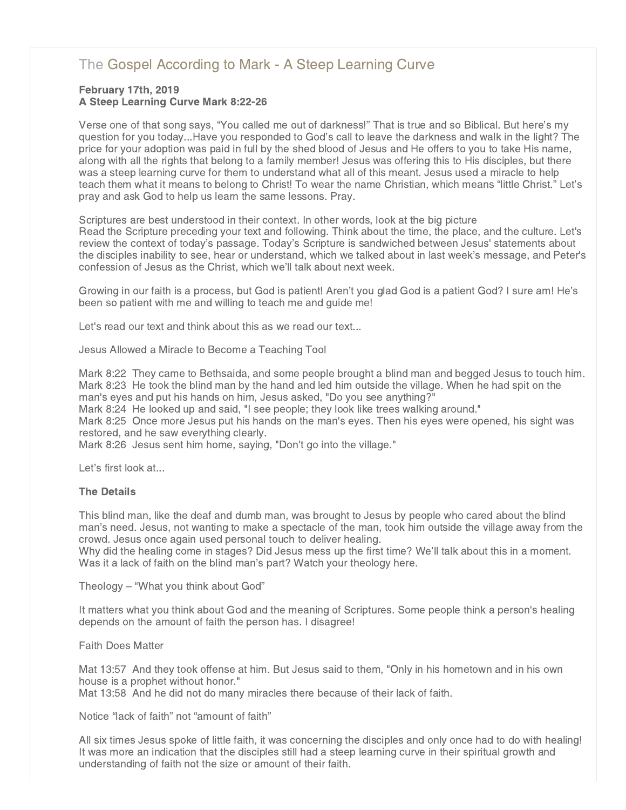# [The Gospel According to Mark - A Steep Learning Curve](http://www.northshorechurch.net/resources/sermons/sermon-notes/438-the-gospel-according-to-mark-a-steep-learning-curve)

## February 17th, 2019 A Steep Learning Curve Mark 8:22-26

Verse one of that song says, "You called me out of darkness!" That is true and so Biblical. But here's my question for you today...Have you responded to God's call to leave the darkness and walk in the light? The price for your adoption was paid in full by the shed blood of Jesus and He offers to you to take His name, along with all the rights that belong to a family member! Jesus was offering this to His disciples, but there was a steep learning curve for them to understand what all of this meant. Jesus used a miracle to help teach them what it means to belong to Christ! To wear the name Christian, which means "little Christ." Let's pray and ask God to help us learn the same lessons. Pray.

Scriptures are best understood in their context. In other words, look at the big picture Read the Scripture preceding your text and following. Think about the time, the place, and the culture. Let's review the context of today's passage. Today's Scripture is sandwiched between Jesus' statements about the disciples inability to see, hear or understand, which we talked about in last week's message, and Peter's confession of Jesus as the Christ, which we'll talk about next week.

Growing in our faith is a process, but God is patient! Aren't you glad God is a patient God? I sure am! He's been so patient with me and willing to teach me and guide me!

Let's read our text and think about this as we read our text...

Jesus Allowed a Miracle to Become a Teaching Tool

Mark 8:22 They came to Bethsaida, and some people brought a blind man and begged Jesus to touch him. Mark 8:23 He took the blind man by the hand and led him outside the village. When he had spit on the man's eyes and put his hands on him, Jesus asked, "Do you see anything?"

Mark 8:24 He looked up and said, "I see people; they look like trees walking around."

Mark 8:25 Once more Jesus put his hands on the man's eyes. Then his eyes were opened, his sight was restored, and he saw everything clearly.

Mark 8:26 Jesus sent him home, saying, "Don't go into the village."

Let's first look at...

## The Details

This blind man, like the deaf and dumb man, was brought to Jesus by people who cared about the blind man's need. Jesus, not wanting to make a spectacle of the man, took him outside the village away from the crowd. Jesus once again used personal touch to deliver healing.

Why did the healing come in stages? Did Jesus mess up the first time? We'll talk about this in a moment. Was it a lack of faith on the blind man's part? Watch your theology here.

Theology – "What you think about God"

It matters what you think about God and the meaning of Scriptures. Some people think a person's healing depends on the amount of faith the person has. I disagree!

Faith Does Matter

Mat 13:57 And they took offense at him. But Jesus said to them, "Only in his hometown and in his own house is a prophet without honor."

Mat 13:58 And he did not do many miracles there because of their lack of faith.

Notice "lack of faith" not "amount of faith"

All six times Jesus spoke of little faith, it was concerning the disciples and only once had to do with healing! It was more an indication that the disciples still had a steep learning curve in their spiritual growth and understanding of faith not the size or amount of their faith.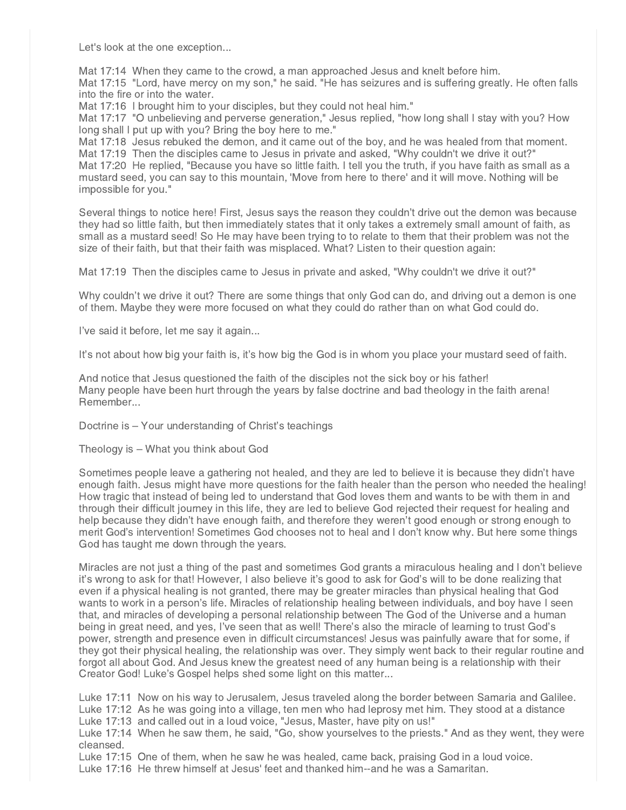Let's look at the one exception...

Mat 17:14 When they came to the crowd, a man approached Jesus and knelt before him. Mat 17:15 "Lord, have mercy on my son," he said. "He has seizures and is suffering greatly. He often falls into the fire or into the water.

Mat 17:16 I brought him to your disciples, but they could not heal him."

Mat 17:17 "O unbelieving and perverse generation," Jesus replied, "how long shall I stay with you? How long shall I put up with you? Bring the boy here to me."

Mat 17:18 Jesus rebuked the demon, and it came out of the boy, and he was healed from that moment. Mat 17:19 Then the disciples came to Jesus in private and asked, "Why couldn't we drive it out?" Mat 17:20 He replied, "Because you have so little faith. I tell you the truth, if you have faith as small as a mustard seed, you can say to this mountain, 'Move from here to there' and it will move. Nothing will be impossible for you."

Several things to notice here! First, Jesus says the reason they couldn't drive out the demon was because they had so little faith, but then immediately states that it only takes a extremely small amount of faith, as small as a mustard seed! So He may have been trying to to relate to them that their problem was not the size of their faith, but that their faith was misplaced. What? Listen to their question again:

Mat 17:19 Then the disciples came to Jesus in private and asked, "Why couldn't we drive it out?"

Why couldn't we drive it out? There are some things that only God can do, and driving out a demon is one of them. Maybe they were more focused on what they could do rather than on what God could do.

I've said it before, let me say it again...

It's not about how big your faith is, it's how big the God is in whom you place your mustard seed of faith.

And notice that Jesus questioned the faith of the disciples not the sick boy or his father! Many people have been hurt through the years by false doctrine and bad theology in the faith arena! Remember...

Doctrine is – Your understanding of Christ's teachings

Theology is – What you think about God

Sometimes people leave a gathering not healed, and they are led to believe it is because they didn't have enough faith. Jesus might have more questions for the faith healer than the person who needed the healing! How tragic that instead of being led to understand that God loves them and wants to be with them in and through their difficult journey in this life, they are led to believe God rejected their request for healing and help because they didn't have enough faith, and therefore they weren't good enough or strong enough to merit God's intervention! Sometimes God chooses not to heal and I don't know why. But here some things God has taught me down through the years.

Miracles are not just a thing of the past and sometimes God grants a miraculous healing and I don't believe it's wrong to ask for that! However, I also believe it's good to ask for God's will to be done realizing that even if a physical healing is not granted, there may be greater miracles than physical healing that God wants to work in a person's life. Miracles of relationship healing between individuals, and boy have I seen that, and miracles of developing a personal relationship between The God of the Universe and a human being in great need, and yes, I've seen that as well! There's also the miracle of learning to trust God's power, strength and presence even in difficult circumstances! Jesus was painfully aware that for some, if they got their physical healing, the relationship was over. They simply went back to their regular routine and forgot all about God. And Jesus knew the greatest need of any human being is a relationship with their Creator God! Luke's Gospel helps shed some light on this matter...

Luke 17:11 Now on his way to Jerusalem, Jesus traveled along the border between Samaria and Galilee. Luke 17:12 As he was going into a village, ten men who had leprosy met him. They stood at a distance Luke 17:13 and called out in a loud voice, "Jesus, Master, have pity on us!"

Luke 17:14 When he saw them, he said, "Go, show yourselves to the priests." And as they went, they were cleansed.

Luke 17:15 One of them, when he saw he was healed, came back, praising God in a loud voice.

Luke 17:16 He threw himself at Jesus' feet and thanked him--and he was a Samaritan.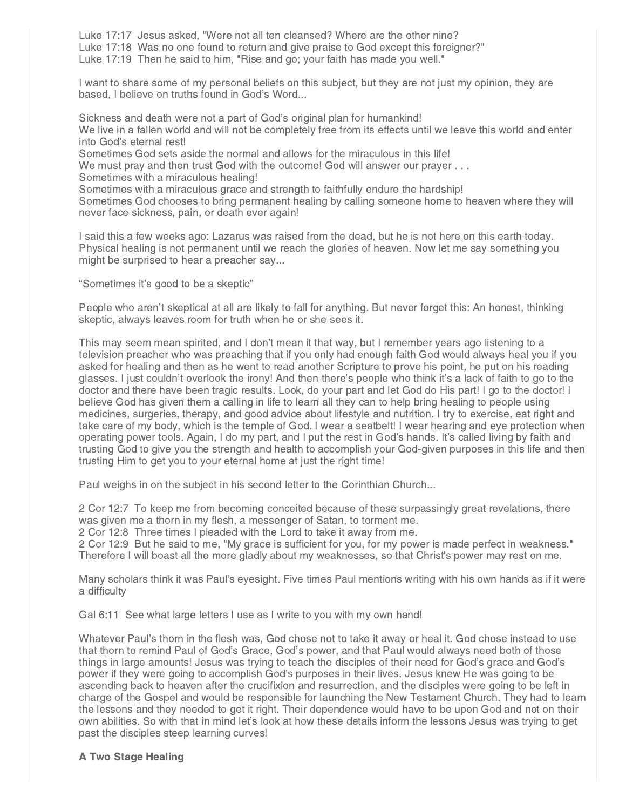Luke 17:17 Jesus asked, "Were not all ten cleansed? Where are the other nine? Luke 17:18 Was no one found to return and give praise to God except this foreigner?" Luke 17:19 Then he said to him, "Rise and go; your faith has made you well."

I want to share some of my personal beliefs on this subject, but they are not just my opinion, they are based, I believe on truths found in God's Word...

Sickness and death were not a part of God's original plan for humankind! We live in a fallen world and will not be completely free from its effects until we leave this world and enter into God's eternal rest!

Sometimes God sets aside the normal and allows for the miraculous in this life!

We must pray and then trust God with the outcome! God will answer our prayer . . .

Sometimes with a miraculous healing!

Sometimes with a miraculous grace and strength to faithfully endure the hardship!

Sometimes God chooses to bring permanent healing by calling someone home to heaven where they will never face sickness, pain, or death ever again!

I said this a few weeks ago: Lazarus was raised from the dead, but he is not here on this earth today. Physical healing is not permanent until we reach the glories of heaven. Now let me say something you might be surprised to hear a preacher say...

"Sometimes it's good to be a skeptic"

People who aren't skeptical at all are likely to fall for anything. But never forget this: An honest, thinking skeptic, always leaves room for truth when he or she sees it.

This may seem mean spirited, and I don't mean it that way, but I remember years ago listening to a television preacher who was preaching that if you only had enough faith God would always heal you if you asked for healing and then as he went to read another Scripture to prove his point, he put on his reading glasses. I just couldn't overlook the irony! And then there's people who think it's a lack of faith to go to the doctor and there have been tragic results. Look, do your part and let God do His part! I go to the doctor! I believe God has given them a calling in life to learn all they can to help bring healing to people using medicines, surgeries, therapy, and good advice about lifestyle and nutrition. I try to exercise, eat right and take care of my body, which is the temple of God. I wear a seatbelt! I wear hearing and eye protection when operating power tools. Again, I do my part, and I put the rest in God's hands. It's called living by faith and trusting God to give you the strength and health to accomplish your God-given purposes in this life and then trusting Him to get you to your eternal home at just the right time!

Paul weighs in on the subject in his second letter to the Corinthian Church...

2 Cor 12:7 To keep me from becoming conceited because of these surpassingly great revelations, there was given me a thorn in my flesh, a messenger of Satan, to torment me.

2 Cor 12:8 Three times I pleaded with the Lord to take it away from me.

2 Cor 12:9 But he said to me, "My grace is sufficient for you, for my power is made perfect in weakness." Therefore I will boast all the more gladly about my weaknesses, so that Christ's power may rest on me.

Many scholars think it was Paul's eyesight. Five times Paul mentions writing with his own hands as if it were a difficulty

Gal 6:11 See what large letters I use as I write to you with my own hand!

Whatever Paul's thorn in the flesh was, God chose not to take it away or heal it. God chose instead to use that thorn to remind Paul of God's Grace, God's power, and that Paul would always need both of those things in large amounts! Jesus was trying to teach the disciples of their need for God's grace and God's power if they were going to accomplish God's purposes in their lives. Jesus knew He was going to be ascending back to heaven after the crucifixion and resurrection, and the disciples were going to be left in charge of the Gospel and would be responsible for launching the New Testament Church. They had to learn the lessons and they needed to get it right. Their dependence would have to be upon God and not on their own abilities. So with that in mind let's look at how these details inform the lessons Jesus was trying to get past the disciples steep learning curves!

## A Two Stage Healing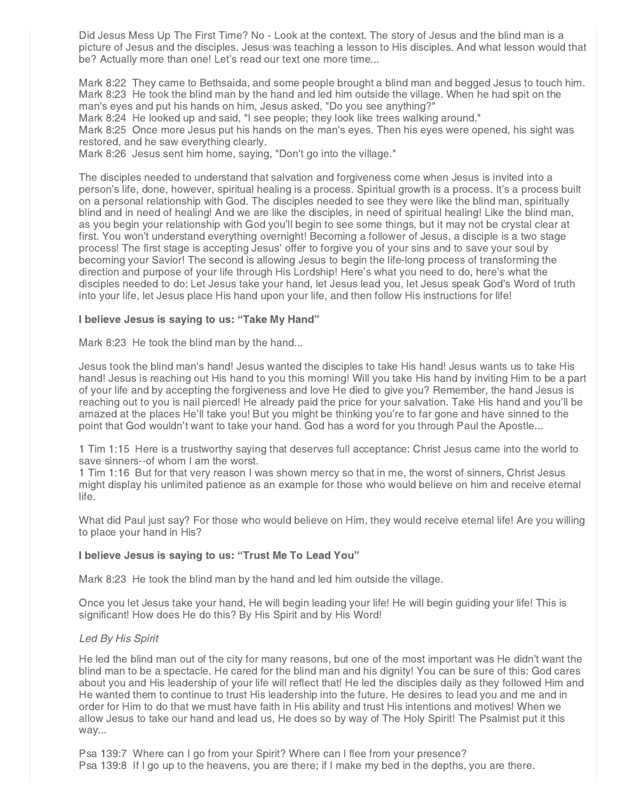Did Jesus Mess Up The First Time? No - Look at the context. The story of Jesus and the blind man is a picture of Jesus and the disciples. Jesus was teaching a lesson to His disciples. And what lesson would that be? Actually more than one! Let's read our text one more time...

Mark 8:22 They came to Bethsaida, and some people brought a blind man and begged Jesus to touch him. Mark 8:23 He took the blind man by the hand and led him outside the village. When he had spit on the man's eyes and put his hands on him, Jesus asked, "Do you see anything?"

Mark 8:24 He looked up and said, "I see people; they look like trees walking around."

Mark 8:25 Once more Jesus put his hands on the man's eyes. Then his eyes were opened, his sight was restored, and he saw everything clearly.

Mark 8:26 Jesus sent him home, saying, "Don't go into the village."

The disciples needed to understand that salvation and forgiveness come when Jesus is invited into a person's life, done, however, spiritual healing is a process. Spiritual growth is a process. It's a process built on a personal relationship with God. The disciples needed to see they were like the blind man, spiritually blind and in need of healing! And we are like the disciples, in need of spiritual healing! Like the blind man, as you begin your relationship with God you'll begin to see some things, but it may not be crystal clear at first. You won't understand everything overnight! Becoming a follower of Jesus, a disciple is a two stage process! The first stage is accepting Jesus' offer to forgive you of your sins and to save your soul by becoming your Savior! The second is allowing Jesus to begin the life-long process of transforming the direction and purpose of your life through His Lordship! Here's what you need to do, here's what the disciples needed to do: Let Jesus take your hand, let Jesus lead you, let Jesus speak God's Word of truth into your life, let Jesus place His hand upon your life, and then follow His instructions for life!

### I believe Jesus is saying to us: "Take My Hand"

Mark 8:23 He took the blind man by the hand...

Jesus took the blind man's hand! Jesus wanted the disciples to take His hand! Jesus wants us to take His hand! Jesus is reaching out His hand to you this morning! Will you take His hand by inviting Him to be a part of your life and by accepting the forgiveness and love He died to give you? Remember, the hand Jesus is reaching out to you is nail pierced! He already paid the price for your salvation. Take His hand and you'll be amazed at the places He'll take you! But you might be thinking you're to far gone and have sinned to the point that God wouldn't want to take your hand. God has a word for you through Paul the Apostle...

1 Tim 1:15 Here is a trustworthy saying that deserves full acceptance: Christ Jesus came into the world to save sinners--of whom I am the worst.

1 Tim 1:16 But for that very reason I was shown mercy so that in me, the worst of sinners, Christ Jesus might display his unlimited patience as an example for those who would believe on him and receive eternal life.

What did Paul just say? For those who would believe on Him, they would receive eternal life! Are you willing to place your hand in His?

#### I believe Jesus is saying to us: "Trust Me To Lead You"

Mark 8:23 He took the blind man by the hand and led him outside the village.

Once you let Jesus take your hand, He will begin leading your life! He will begin guiding your life! This is significant! How does He do this? By His Spirit and by His Word!

## Led By His Spirit

He led the blind man out of the city for many reasons, but one of the most important was He didn't want the blind man to be a spectacle. He cared for the blind man and his dignity! You can be sure of this: God cares about you and His leadership of your life will reflect that! He led the disciples daily as they followed Him and He wanted them to continue to trust His leadership into the future. He desires to lead you and me and in order for Him to do that we must have faith in His ability and trust His intentions and motives! When we allow Jesus to take our hand and lead us, He does so by way of The Holy Spirit! The Psalmist put it this way...

Psa 139:7 Where can I go from your Spirit? Where can I flee from your presence? Psa 139:8 If I go up to the heavens, you are there; if I make my bed in the depths, you are there.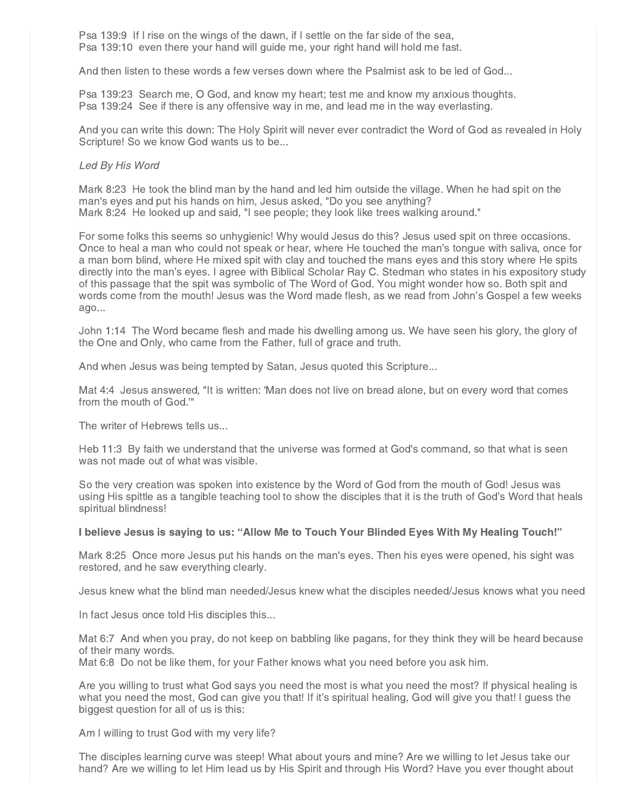Psa 139:9 If I rise on the wings of the dawn, if I settle on the far side of the sea, Psa 139:10 even there your hand will guide me, your right hand will hold me fast.

And then listen to these words a few verses down where the Psalmist ask to be led of God...

Psa 139:23 Search me, O God, and know my heart; test me and know my anxious thoughts. Psa 139:24 See if there is any offensive way in me, and lead me in the way everlasting.

And you can write this down: The Holy Spirit will never ever contradict the Word of God as revealed in Holy Scripture! So we know God wants us to be...

#### Led By His Word

Mark 8:23 He took the blind man by the hand and led him outside the village. When he had spit on the man's eyes and put his hands on him, Jesus asked, "Do you see anything? Mark 8:24 He looked up and said, "I see people; they look like trees walking around."

For some folks this seems so unhygienic! Why would Jesus do this? Jesus used spit on three occasions. Once to heal a man who could not speak or hear, where He touched the man's tongue with saliva, once for a man born blind, where He mixed spit with clay and touched the mans eyes and this story where He spits directly into the man's eyes. I agree with Biblical Scholar Ray C. Stedman who states in his expository study of this passage that the spit was symbolic of The Word of God. You might wonder how so. Both spit and words come from the mouth! Jesus was the Word made flesh, as we read from John's Gospel a few weeks ago...

John 1:14 The Word became flesh and made his dwelling among us. We have seen his glory, the glory of the One and Only, who came from the Father, full of grace and truth.

And when Jesus was being tempted by Satan, Jesus quoted this Scripture...

Mat 4:4 Jesus answered, "It is written: 'Man does not live on bread alone, but on every word that comes from the mouth of God.'"

The writer of Hebrews tells us...

Heb 11:3 By faith we understand that the universe was formed at God's command, so that what is seen was not made out of what was visible.

So the very creation was spoken into existence by the Word of God from the mouth of God! Jesus was using His spittle as a tangible teaching tool to show the disciples that it is the truth of God's Word that heals spiritual blindness!

#### I believe Jesus is saying to us: "Allow Me to Touch Your Blinded Eyes With My Healing Touch!"

Mark 8:25 Once more Jesus put his hands on the man's eyes. Then his eyes were opened, his sight was restored, and he saw everything clearly.

Jesus knew what the blind man needed/Jesus knew what the disciples needed/Jesus knows what you need

In fact Jesus once told His disciples this...

Mat 6:7 And when you pray, do not keep on babbling like pagans, for they think they will be heard because of their many words.

Mat 6:8 Do not be like them, for your Father knows what you need before you ask him.

Are you willing to trust what God says you need the most is what you need the most? If physical healing is what you need the most, God can give you that! If it's spiritual healing, God will give you that! I guess the biggest question for all of us is this:

Am I willing to trust God with my very life?

The disciples learning curve was steep! What about yours and mine? Are we willing to let Jesus take our hand? Are we willing to let Him lead us by His Spirit and through His Word? Have you ever thought about